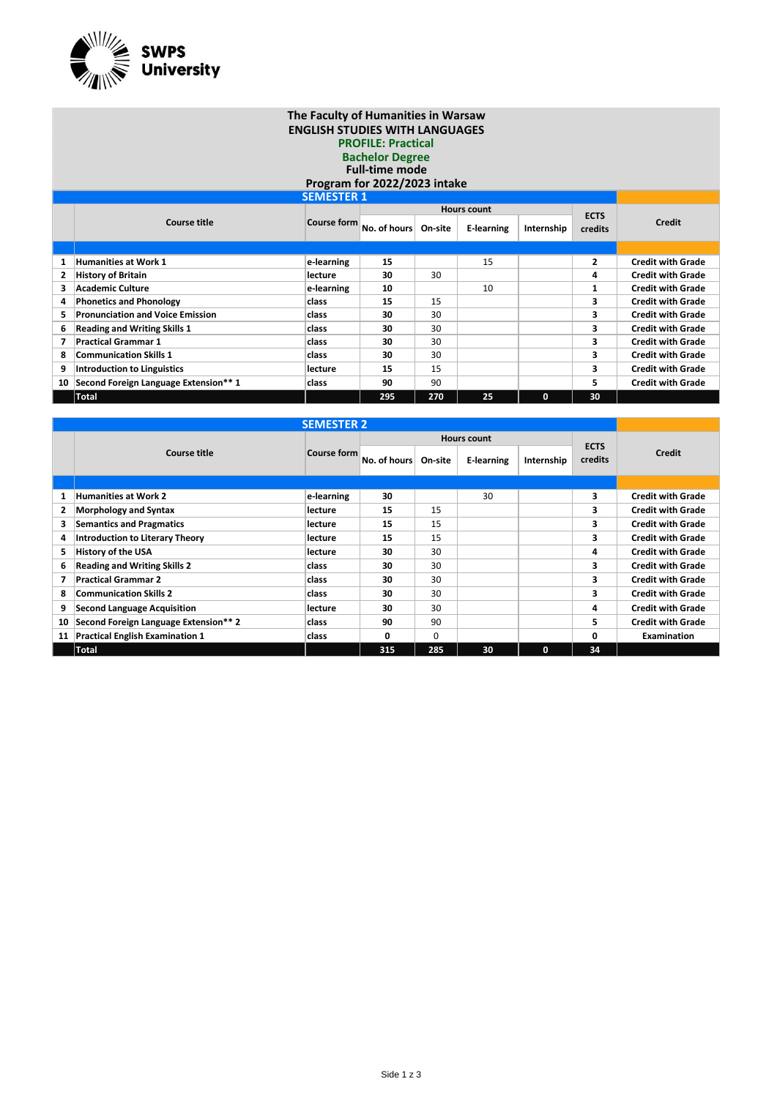

## **The Faculty of Humanities in Warsaw ENGLISH STUDIES WITH LANGUAGES PROFILE: Practical Bachelor Degree Full-time mode Program for 2022/2023 intake**

| <b>SEMESTER 1</b> |                                         |                    |              |         |                    |              |         |                          |  |
|-------------------|-----------------------------------------|--------------------|--------------|---------|--------------------|--------------|---------|--------------------------|--|
|                   |                                         |                    |              |         | <b>Hours count</b> | <b>ECTS</b>  |         |                          |  |
|                   | <b>Course title</b>                     | <b>Course form</b> | No. of hours | On-site | E-learning         | Internship   | credits | <b>Credit</b>            |  |
|                   |                                         |                    |              |         |                    |              |         |                          |  |
|                   | <b>Humanities at Work 1</b>             | e-learning         | 15           |         | 15                 |              | 2       | <b>Credit with Grade</b> |  |
| $\mathbf{2}$      | <b>History of Britain</b>               | lecture            | 30           | 30      |                    |              | 4       | <b>Credit with Grade</b> |  |
| 3                 | <b>Academic Culture</b>                 | e-learning         | 10           |         | 10                 |              | 1       | <b>Credit with Grade</b> |  |
| 4                 | <b>Phonetics and Phonology</b>          | class              | 15           | 15      |                    |              | 3       | <b>Credit with Grade</b> |  |
| 5.                | <b>Pronunciation and Voice Emission</b> | class              | 30           | 30      |                    |              | 3       | <b>Credit with Grade</b> |  |
| 6.                | <b>Reading and Writing Skills 1</b>     | class              | 30           | 30      |                    |              | 3       | <b>Credit with Grade</b> |  |
|                   | <b>Practical Grammar 1</b>              | class              | 30           | 30      |                    |              | 3       | <b>Credit with Grade</b> |  |
| 8                 | <b>Communication Skills 1</b>           | class              | 30           | 30      |                    |              | 3       | <b>Credit with Grade</b> |  |
| 9                 | <b>Introduction to Linguistics</b>      | lecture            | 15           | 15      |                    |              | 3       | <b>Credit with Grade</b> |  |
| 10                | Second Foreign Language Extension** 1   | class              | 90           | 90      |                    |              | 5       | <b>Credit with Grade</b> |  |
|                   | Total                                   |                    | 295          | 270     | 25                 | $\mathbf{0}$ | 30      |                          |  |

| <b>SEMESTER 2</b> |                                        |                    |                      |                    |            |              |                        |                          |  |
|-------------------|----------------------------------------|--------------------|----------------------|--------------------|------------|--------------|------------------------|--------------------------|--|
|                   |                                        |                    |                      | <b>Hours count</b> |            |              |                        |                          |  |
|                   | Course title                           | <b>Course form</b> | No. of hours On-site |                    | E-learning | Internship   | <b>ECTS</b><br>credits | <b>Credit</b>            |  |
|                   |                                        |                    |                      |                    |            |              |                        |                          |  |
| 1                 | <b>Humanities at Work 2</b>            | e-learning         | 30                   |                    | 30         |              | 3                      | <b>Credit with Grade</b> |  |
| 2                 | <b>Morphology and Syntax</b>           | lecture            | 15                   | 15                 |            |              | з                      | <b>Credit with Grade</b> |  |
| 3.                | <b>Semantics and Pragmatics</b>        | lecture            | 15                   | 15                 |            |              | 3                      | <b>Credit with Grade</b> |  |
| 4                 | <b>Introduction to Literary Theory</b> | lecture            | 15                   | 15                 |            |              | 3                      | <b>Credit with Grade</b> |  |
| 5.                | <b>History of the USA</b>              | lecture            | 30                   | 30                 |            |              | 4                      | <b>Credit with Grade</b> |  |
| 6                 | <b>Reading and Writing Skills 2</b>    | class              | 30                   | 30                 |            |              | 3                      | <b>Credit with Grade</b> |  |
| 7                 | <b>Practical Grammar 2</b>             | class              | 30                   | 30                 |            |              | 3                      | <b>Credit with Grade</b> |  |
| 8                 | <b>Communication Skills 2</b>          | class              | 30                   | 30                 |            |              | 3                      | <b>Credit with Grade</b> |  |
| 9                 | <b>Second Language Acquisition</b>     | lecture            | 30                   | 30                 |            |              | 4                      | <b>Credit with Grade</b> |  |
| 10                | Second Foreign Language Extension** 2  | class              | 90                   | 90                 |            |              | 5.                     | <b>Credit with Grade</b> |  |
| 11                | <b>Practical English Examination 1</b> | class              | 0                    | $\Omega$           |            |              | n                      | Examination              |  |
|                   | <b>Total</b>                           |                    | 315                  | 285                | 30         | $\mathbf{0}$ | 34                     |                          |  |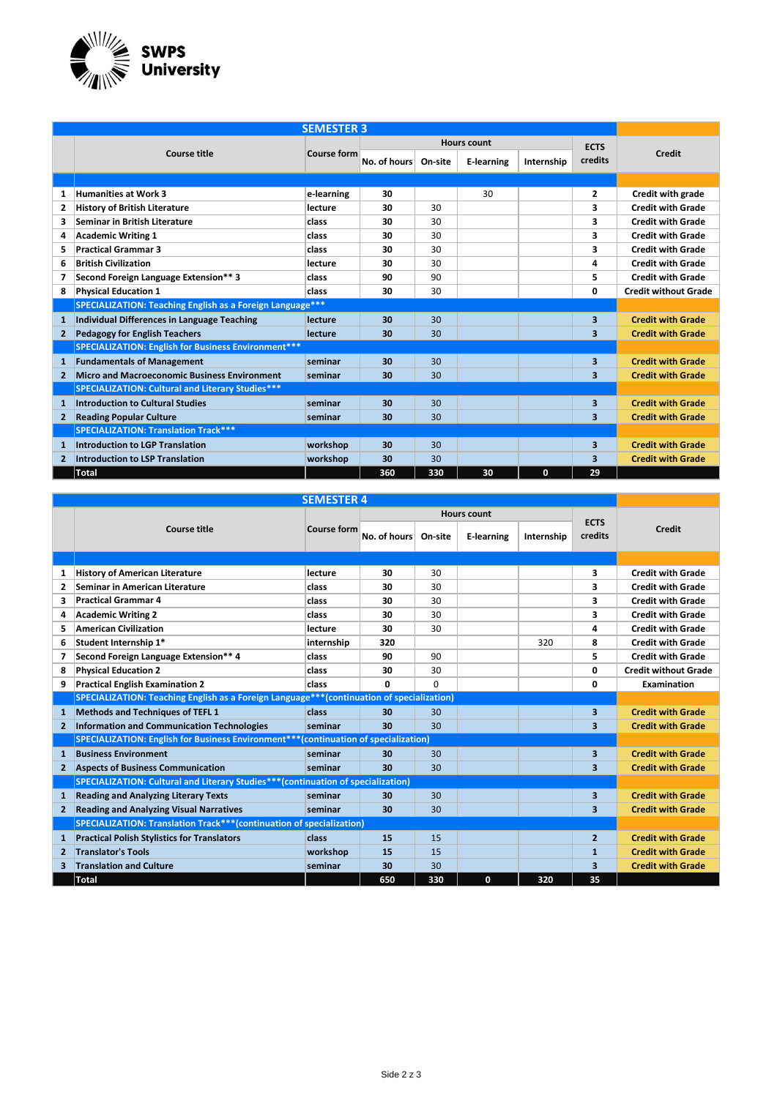

|                | <b>SEMESTER 3</b>                                                 |                    |              |              |                    |              |                         |                             |  |  |  |
|----------------|-------------------------------------------------------------------|--------------------|--------------|--------------|--------------------|--------------|-------------------------|-----------------------------|--|--|--|
|                |                                                                   |                    |              |              | <b>Hours count</b> | <b>ECTS</b>  |                         |                             |  |  |  |
|                | Course title                                                      | <b>Course form</b> | No. of hours | On-site      | <b>E-learning</b>  | Internship   | credits                 | <b>Credit</b>               |  |  |  |
|                |                                                                   |                    |              |              |                    |              |                         |                             |  |  |  |
| 1              | <b>Humanities at Work 3</b>                                       | e-learning         | 30           |              | 30                 |              | $\overline{2}$          | Credit with grade           |  |  |  |
| 2              | <b>History of British Literature</b>                              | lecture            | 30           | 30           |                    |              | 3                       | <b>Credit with Grade</b>    |  |  |  |
| 3              | <b>Seminar in British Literature</b>                              | class              | 30           | 30           |                    |              | 3                       | <b>Credit with Grade</b>    |  |  |  |
| 4              | <b>Academic Writing 1</b>                                         | class              | 30           | 30           |                    |              | 3                       | <b>Credit with Grade</b>    |  |  |  |
| 5.             | <b>Practical Grammar 3</b>                                        | class              | 30           | 30           |                    |              | 3                       | <b>Credit with Grade</b>    |  |  |  |
| 6              | <b>British Civilization</b>                                       | lecture            | 30           | 30           |                    |              | 4                       | <b>Credit with Grade</b>    |  |  |  |
| 7              | Second Foreign Language Extension** 3                             | class              | 90           | 90           |                    |              | 5                       | <b>Credit with Grade</b>    |  |  |  |
| 8              | <b>Physical Education 1</b>                                       | class              | 30           | 30           |                    |              | 0                       | <b>Credit without Grade</b> |  |  |  |
|                | <b>SPECIALIZATION: Teaching English as a Foreign Language ***</b> |                    |              |              |                    |              |                         |                             |  |  |  |
| $\mathbf{1}$   | <b>Individual Differences in Language Teaching</b>                | lecture            | 30           | $30^{\circ}$ |                    |              | $\overline{\mathbf{3}}$ | <b>Credit with Grade</b>    |  |  |  |
| $\mathbf{2}$   | <b>Pedagogy for English Teachers</b>                              | lecture            | 30           | 30           |                    |              | 3                       | <b>Credit with Grade</b>    |  |  |  |
|                | <b>SPECIALIZATION: English for Business Environment***</b>        |                    |              |              |                    |              |                         |                             |  |  |  |
| 1              | <b>Fundamentals of Management</b>                                 | seminar            | 30           | 30           |                    |              | $\overline{\mathbf{3}}$ | <b>Credit with Grade</b>    |  |  |  |
| $\overline{2}$ | <b>Micro and Macroeconomic Business Environment</b>               | seminar            | 30           | 30           |                    |              | $\overline{\mathbf{3}}$ | <b>Credit with Grade</b>    |  |  |  |
|                | <b>SPECIALIZATION: Cultural and Literary Studies***</b>           |                    |              |              |                    |              |                         |                             |  |  |  |
| 1              | <b>Introduction to Cultural Studies</b>                           | seminar            | 30           | 30           |                    |              | $\overline{\mathbf{3}}$ | <b>Credit with Grade</b>    |  |  |  |
| $\mathbf{2}$   | <b>Reading Popular Culture</b>                                    | seminar            | 30           | 30           |                    |              | $\overline{\mathbf{3}}$ | <b>Credit with Grade</b>    |  |  |  |
|                | <b>SPECIALIZATION: Translation Track***</b>                       |                    |              |              |                    |              |                         |                             |  |  |  |
| 1              | <b>Introduction to LGP Translation</b>                            | workshop           | 30           | 30           |                    |              | $\overline{\mathbf{3}}$ | <b>Credit with Grade</b>    |  |  |  |
| $\mathbf{2}$   | <b>Introduction to LSP Translation</b>                            | workshop           | 30           | 30           |                    |              | $\overline{\mathbf{3}}$ | <b>Credit with Grade</b>    |  |  |  |
|                | <b>Total</b>                                                      |                    | 360          | 330          | 30                 | $\mathbf{0}$ | 29                      |                             |  |  |  |

| <b>SEMESTER 4</b> |                                                                                            |                    |              |                 |                    |            |                         |                             |  |  |  |
|-------------------|--------------------------------------------------------------------------------------------|--------------------|--------------|-----------------|--------------------|------------|-------------------------|-----------------------------|--|--|--|
|                   |                                                                                            |                    |              |                 | <b>Hours count</b> |            |                         |                             |  |  |  |
|                   | Course title                                                                               | <b>Course form</b> | No. of hours | On-site         | <b>E-learning</b>  | Internship | <b>ECTS</b><br>credits  | <b>Credit</b>               |  |  |  |
|                   |                                                                                            |                    |              |                 |                    |            |                         |                             |  |  |  |
| 1                 | <b>History of American Literature</b>                                                      | lecture            | 30           | 30              |                    |            | 3                       | <b>Credit with Grade</b>    |  |  |  |
| $\overline{2}$    | Seminar in American Literature                                                             | class              | 30           | 30              |                    |            | 3                       | <b>Credit with Grade</b>    |  |  |  |
| 3                 | <b>Practical Grammar 4</b>                                                                 | class              | 30           | 30              |                    |            | 3                       | <b>Credit with Grade</b>    |  |  |  |
| 4                 | <b>Academic Writing 2</b>                                                                  | class              | 30           | 30              |                    |            | 3                       | <b>Credit with Grade</b>    |  |  |  |
| 5.                | <b>American Civilization</b>                                                               | lecture            | 30           | 30              |                    |            | 4                       | <b>Credit with Grade</b>    |  |  |  |
| 6                 | Student Internship 1*                                                                      | internship         | 320          |                 |                    | 320        | 8                       | <b>Credit with Grade</b>    |  |  |  |
| 7                 | Second Foreign Language Extension** 4                                                      | class              | 90           | 90              |                    |            | 5                       | <b>Credit with Grade</b>    |  |  |  |
| 8                 | <b>Physical Education 2</b>                                                                | class              | 30           | 30              |                    |            | 0                       | <b>Credit without Grade</b> |  |  |  |
| 9                 | <b>Practical English Examination 2</b>                                                     | class              | 0            | $\Omega$        |                    |            | 0                       | Examination                 |  |  |  |
|                   | SPECIALIZATION: Teaching English as a Foreign Language*** (continuation of specialization) |                    |              |                 |                    |            |                         |                             |  |  |  |
| $\mathbf{1}$      | <b>Methods and Techniques of TEFL 1</b>                                                    | class              | 30           | 30              |                    |            | $\overline{\mathbf{3}}$ | <b>Credit with Grade</b>    |  |  |  |
| 2                 | <b>Information and Communication Technologies</b>                                          | seminar            | 30           | 30 <sub>2</sub> |                    |            | $\overline{\mathbf{3}}$ | <b>Credit with Grade</b>    |  |  |  |
|                   | SPECIALIZATION: English for Business Environment***(continuation of specialization)        |                    |              |                 |                    |            |                         |                             |  |  |  |
| $\mathbf{1}$      | <b>Business Environment</b>                                                                | seminar            | 30           | 30              |                    |            | $\overline{\mathbf{3}}$ | <b>Credit with Grade</b>    |  |  |  |
| $\mathbf{2}$      | <b>Aspects of Business Communication</b>                                                   | seminar            | 30           | 30              |                    |            | $\overline{\mathbf{3}}$ | <b>Credit with Grade</b>    |  |  |  |
|                   | SPECIALIZATION: Cultural and Literary Studies***(continuation of specialization)           |                    |              |                 |                    |            |                         |                             |  |  |  |
| $\mathbf{1}$      | <b>Reading and Analyzing Literary Texts</b>                                                | seminar            | 30           | 30              |                    |            | $\overline{\mathbf{3}}$ | <b>Credit with Grade</b>    |  |  |  |
| $\overline{2}$    | <b>Reading and Analyzing Visual Narratives</b>                                             | seminar            | 30           | 30              |                    |            | $\overline{\mathbf{3}}$ | <b>Credit with Grade</b>    |  |  |  |
|                   | SPECIALIZATION: Translation Track***(continuation of specialization)                       |                    |              |                 |                    |            |                         |                             |  |  |  |
| 1                 | <b>Practical Polish Stylistics for Translators</b>                                         | <b>class</b>       | 15           | 15              |                    |            | $\overline{2}$          | <b>Credit with Grade</b>    |  |  |  |
| $\mathbf{2}$      | <b>Translator's Tools</b>                                                                  | workshop           | 15           | 15              |                    |            | $\mathbf{1}$            | <b>Credit with Grade</b>    |  |  |  |
| 3.                | <b>Translation and Culture</b>                                                             | seminar            | 30           | 30              |                    |            | $\overline{\mathbf{3}}$ | <b>Credit with Grade</b>    |  |  |  |
|                   | <b>Total</b>                                                                               |                    | 650          | 330             | $\mathbf{0}$       | 320        | 35                      |                             |  |  |  |